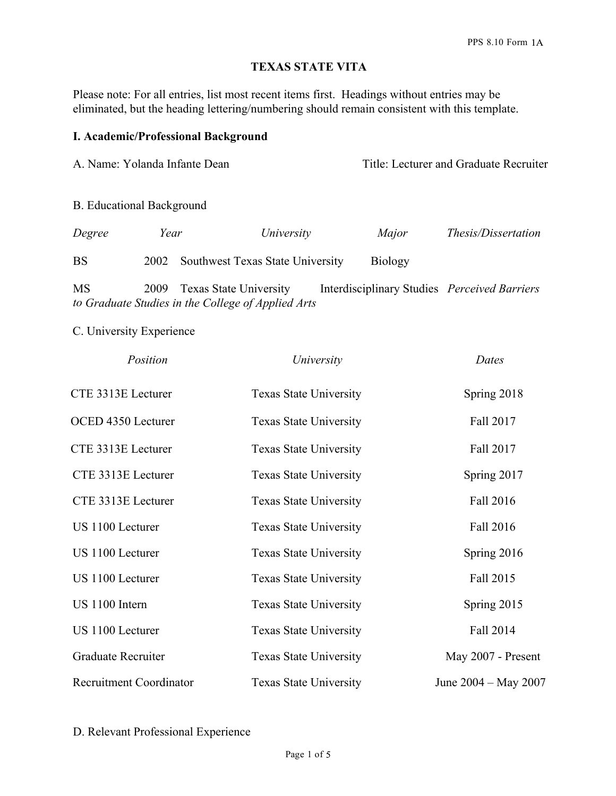### **TEXAS STATE VITA**

Please note: For all entries, list most recent items first. Headings without entries may be eliminated, but the heading lettering/numbering should remain consistent with this template.

#### **I. Academic/Professional Background**

A. Name: Yolanda Infante Dean Title: Lecturer and Graduate Recruiter

B. Educational Background

| Degree    | Year | University                            | Major          | Thesis/Dissertation |
|-----------|------|---------------------------------------|----------------|---------------------|
| <b>BS</b> |      | 2002 Southwest Texas State University | <b>Biology</b> |                     |

MS 2009 Texas State University Interdisciplinary Studies *Perceived Barriers to Graduate Studies in the College of Applied Arts*

C. University Experience

| Position                       | University                    | Dates                |
|--------------------------------|-------------------------------|----------------------|
| CTE 3313E Lecturer             | <b>Texas State University</b> | Spring 2018          |
| OCED 4350 Lecturer             | <b>Texas State University</b> | Fall 2017            |
| CTE 3313E Lecturer             | <b>Texas State University</b> | Fall 2017            |
| CTE 3313E Lecturer             | <b>Texas State University</b> | Spring 2017          |
| CTE 3313E Lecturer             | <b>Texas State University</b> | Fall 2016            |
| US 1100 Lecturer               | <b>Texas State University</b> | Fall 2016            |
| US 1100 Lecturer               | <b>Texas State University</b> | Spring 2016          |
| US 1100 Lecturer               | <b>Texas State University</b> | Fall 2015            |
| US 1100 Intern                 | <b>Texas State University</b> | Spring 2015          |
| US 1100 Lecturer               | <b>Texas State University</b> | Fall 2014            |
| <b>Graduate Recruiter</b>      | <b>Texas State University</b> | May 2007 - Present   |
| <b>Recruitment Coordinator</b> | <b>Texas State University</b> | June 2004 - May 2007 |

D. Relevant Professional Experience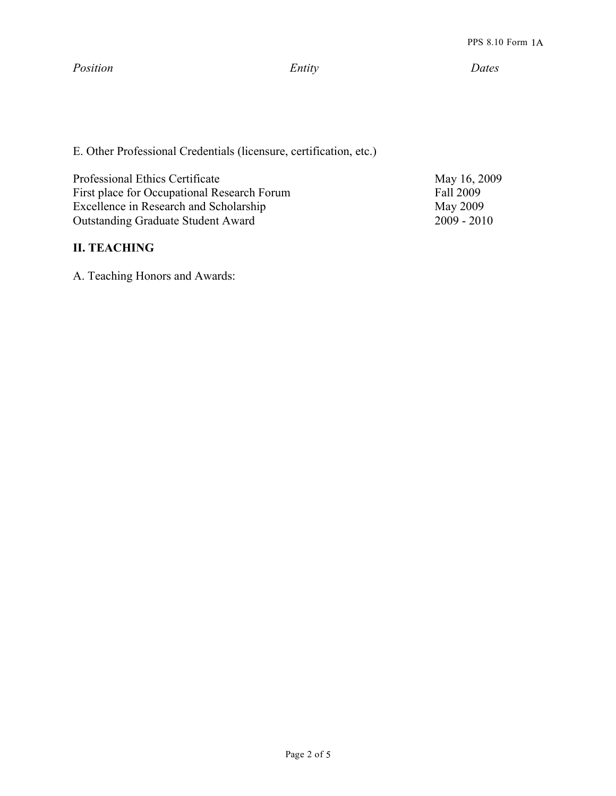*Position Entity Dates*

E. Other Professional Credentials (licensure, certification, etc.)

Professional Ethics Certificate May 16, 2009 First place for Occupational Research Forum Fall 2009<br>Excellence in Research and Scholarship May 2009 Excellence in Research and Scholarship May 2009<br>Outstanding Graduate Student Award 2009 - 2010 Outstanding Graduate Student Award

### **II. TEACHING**

A. Teaching Honors and Awards: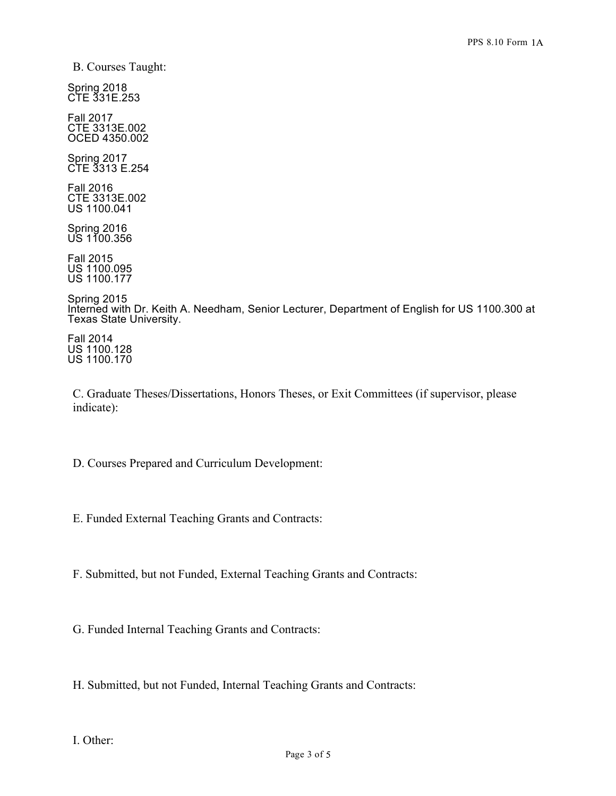B. Courses Taught:

Spring 2018 CTE 331E.253

Fall 2017 CTE 3313E.002 OCED 4350.002

Spring 2017 CTE 3313 E.254

Fall 2016 CTE 3313E.002 US 1100.041

Spring 2016 US 1100.356

Fall 2015 US 1100.095 US 1100.177

Spring 2015 Interned with Dr. Keith A. Needham, Senior Lecturer, Department of English for US 1100.300 at Texas State University.

Fall 2014 US 1100.128 US 1100.170

C. Graduate Theses/Dissertations, Honors Theses, or Exit Committees (if supervisor, please indicate):

D. Courses Prepared and Curriculum Development:

E. Funded External Teaching Grants and Contracts:

F. Submitted, but not Funded, External Teaching Grants and Contracts:

G. Funded Internal Teaching Grants and Contracts:

H. Submitted, but not Funded, Internal Teaching Grants and Contracts: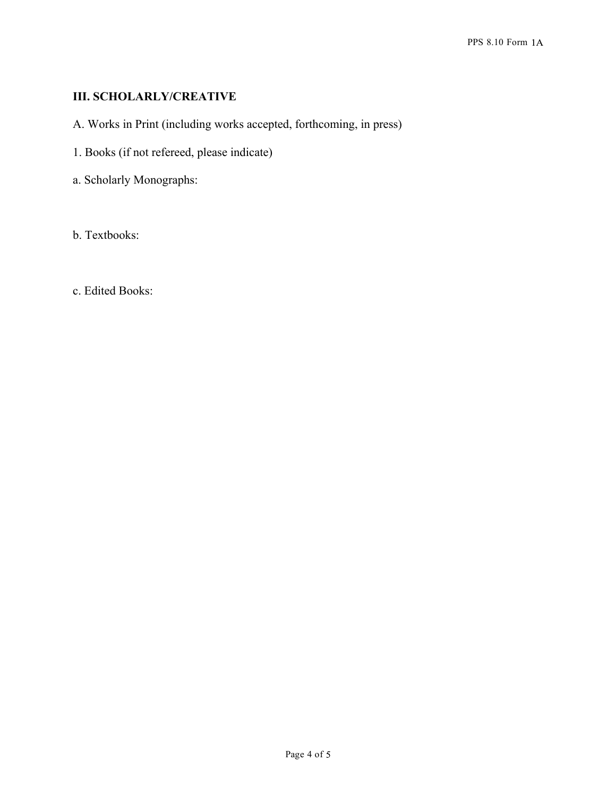# **III. SCHOLARLY/CREATIVE**

- A. Works in Print (including works accepted, forthcoming, in press)
- 1. Books (if not refereed, please indicate)
- a. Scholarly Monographs:

b. Textbooks:

c. Edited Books: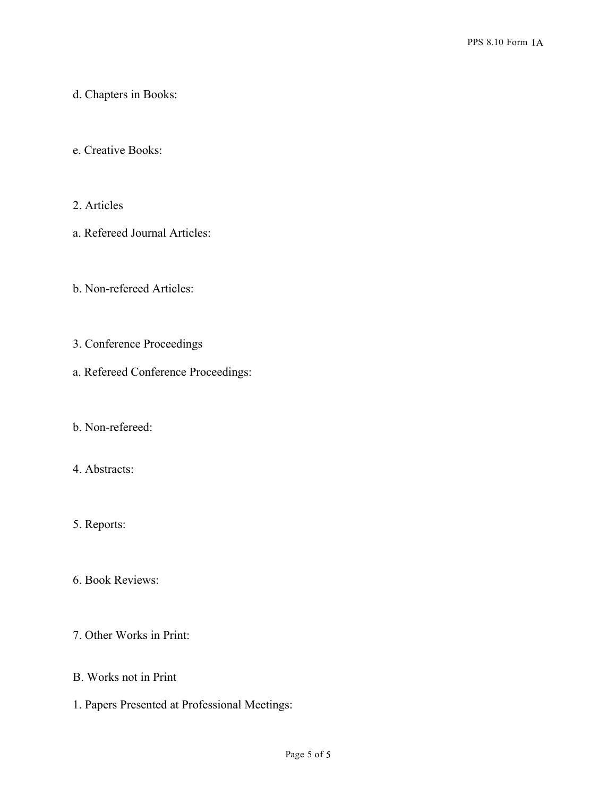#### d. Chapters in Books:

#### e. Creative Books:

### 2. Articles

a. Refereed Journal Articles:

### b. Non-refereed Articles:

# 3. Conference Proceedings

a. Refereed Conference Proceedings:

# b. Non-refereed:

### 4. Abstracts:

# 5. Reports:

6. Book Reviews:

### 7. Other Works in Print:

### B. Works not in Print

1. Papers Presented at Professional Meetings: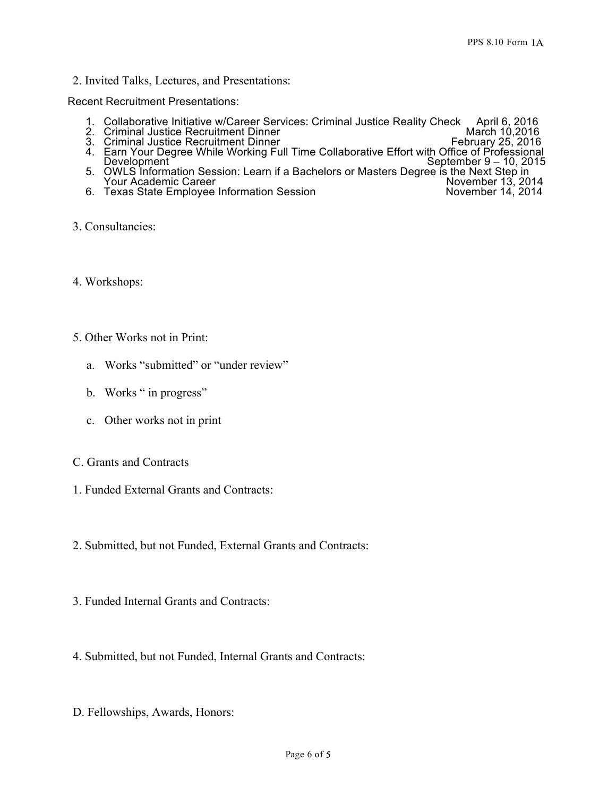2. Invited Talks, Lectures, and Presentations:

Recent Recruitment Presentations:

- 1. Collaborative Initiative w/Career Services: Criminal Justice Reality Check April 6, 2016 2. Criminal Justice Recruitment Dinner March 10,2016
- 
- 3. Criminal Justice Recruitment Dinner February 25, 2016
- 4. Earn Your Degree While Working Full Time Collaborative Effort with Office of Professional Development Text Contract Contract Contract Contract Contract Contract Contract Contract Contract Contract Contract Contract Contract Contract Contract Contract Contract Contract Contract Contract Contract Contract Contrac
- 5. OWLS Information Session: Learn if a Bachelors or Masters Degree is the Next Step in<br>
Your Academic Career<br>
6. Texas State Employee Information Session<br>
14, 2014<br>
November 14, 2014 Your Academic Career
- 6. Texas State Employee Information Session
- 3. Consultancies:
- 4. Workshops:
- 5. Other Works not in Print:
	- a. Works "submitted" or "under review"
	- b. Works " in progress"
	- c. Other works not in print
- C. Grants and Contracts
- 1. Funded External Grants and Contracts:
- 2. Submitted, but not Funded, External Grants and Contracts:
- 3. Funded Internal Grants and Contracts:
- 4. Submitted, but not Funded, Internal Grants and Contracts:
- D. Fellowships, Awards, Honors: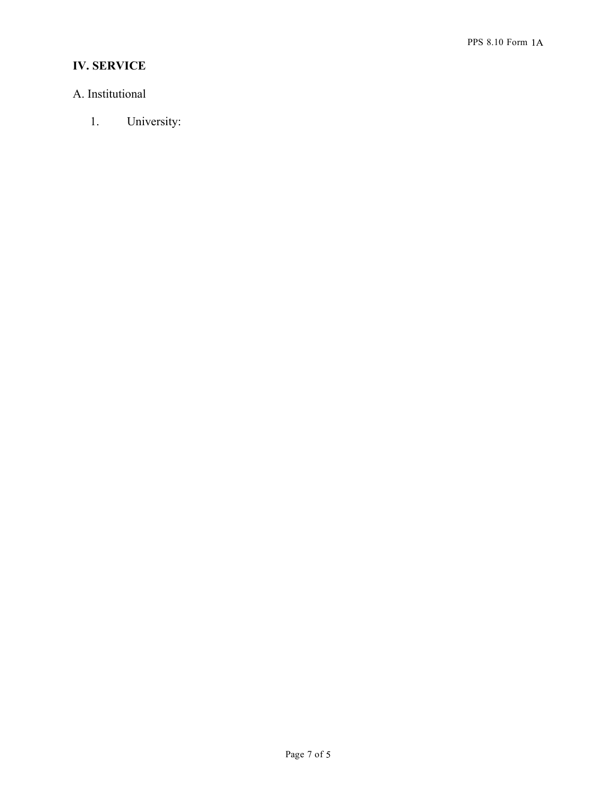# **IV. SERVICE**

# A. Institutional

1. University: